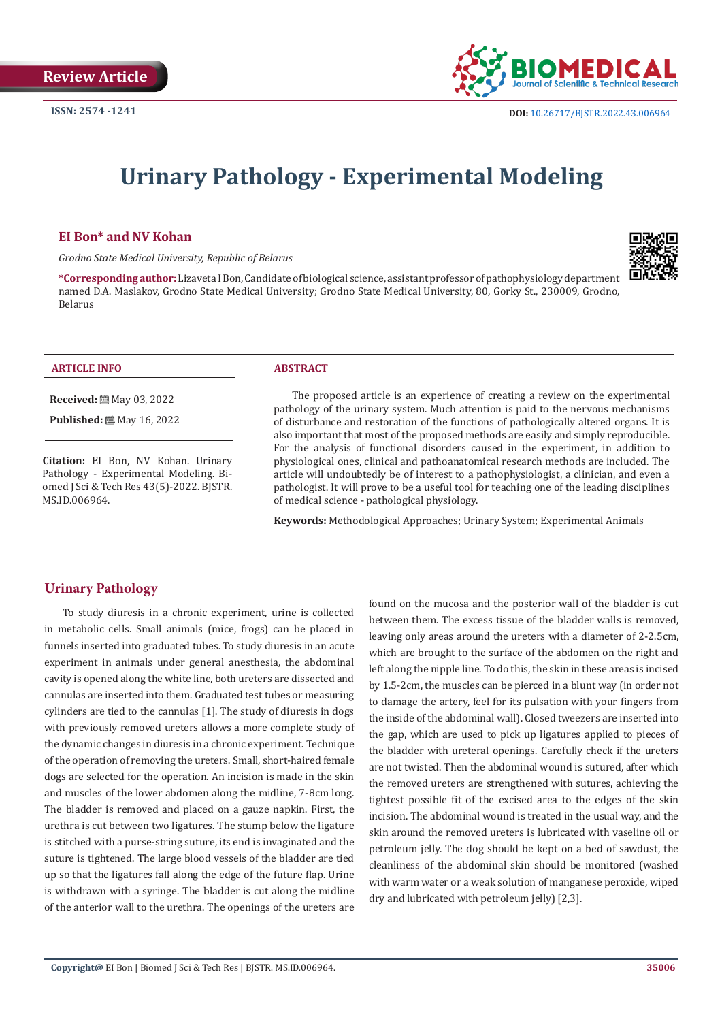

# **Urinary Pathology - Experimental Modeling**

#### **EI Bon\* and NV Kohan**

*Grodno State Medical University, Republic of Belarus*

**\*Corresponding author:** Lizaveta I Bon, Candidate of biological science, assistant professor of pathophysiology department named D.A. Maslakov, Grodno State Medical University; Grodno State Medical University, 80, Gorky St., 230009, Grodno, Belarus



#### **ARTICLE INFO ABSTRACT**

**Received:** [2010] May 03, 2022

**Published:** ■ May 16, 2022

**Citation:** EI Bon, NV Kohan. Urinary Pathology - Experimental Modeling. Biomed J Sci & Tech Res 43(5)-2022. BJSTR. MS.ID.006964.

The proposed article is an experience of creating a review on the experimental pathology of the urinary system. Much attention is paid to the nervous mechanisms of disturbance and restoration of the functions of pathologically altered organs. It is also important that most of the proposed methods are easily and simply reproducible. For the analysis of functional disorders caused in the experiment, in addition to physiological ones, clinical and pathoanatomical research methods are included. The article will undoubtedly be of interest to a pathophysiologist, a clinician, and even a pathologist. It will prove to be a useful tool for teaching one of the leading disciplines of medical science - pathological physiology.

**Keywords:** Methodological Approaches; Urinary System; Experimental Animals

# **Urinary Pathology**

To study diuresis in a chronic experiment, urine is collected in metabolic cells. Small animals (mice, frogs) can be placed in funnels inserted into graduated tubes. To study diuresis in an acute experiment in animals under general anesthesia, the abdominal cavity is opened along the white line, both ureters are dissected and cannulas are inserted into them. Graduated test tubes or measuring cylinders are tied to the cannulas [1]. The study of diuresis in dogs with previously removed ureters allows a more complete study of the dynamic changes in diuresis in a chronic experiment. Technique of the operation of removing the ureters. Small, short-haired female dogs are selected for the operation. An incision is made in the skin and muscles of the lower abdomen along the midline, 7-8cm long. The bladder is removed and placed on a gauze napkin. First, the urethra is cut between two ligatures. The stump below the ligature is stitched with a purse-string suture, its end is invaginated and the suture is tightened. The large blood vessels of the bladder are tied up so that the ligatures fall along the edge of the future flap. Urine is withdrawn with a syringe. The bladder is cut along the midline of the anterior wall to the urethra. The openings of the ureters are found on the mucosa and the posterior wall of the bladder is cut between them. The excess tissue of the bladder walls is removed, leaving only areas around the ureters with a diameter of 2-2.5cm, which are brought to the surface of the abdomen on the right and left along the nipple line. To do this, the skin in these areas is incised by 1.5-2cm, the muscles can be pierced in a blunt way (in order not to damage the artery, feel for its pulsation with your fingers from the inside of the abdominal wall). Closed tweezers are inserted into the gap, which are used to pick up ligatures applied to pieces of the bladder with ureteral openings. Carefully check if the ureters are not twisted. Then the abdominal wound is sutured, after which the removed ureters are strengthened with sutures, achieving the tightest possible fit of the excised area to the edges of the skin incision. The abdominal wound is treated in the usual way, and the skin around the removed ureters is lubricated with vaseline oil or petroleum jelly. The dog should be kept on a bed of sawdust, the cleanliness of the abdominal skin should be monitored (washed with warm water or a weak solution of manganese peroxide, wiped dry and lubricated with petroleum jelly) [2,3].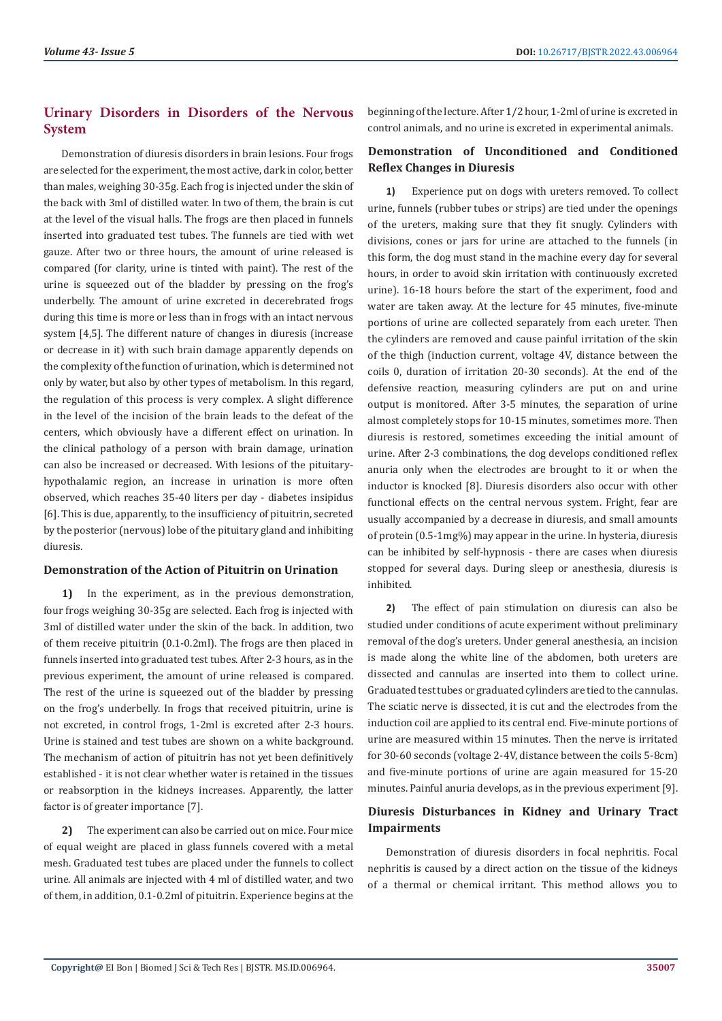# **Urinary Disorders in Disorders of the Nervous System**

Demonstration of diuresis disorders in brain lesions. Four frogs are selected for the experiment, the most active, dark in color, better than males, weighing 30-35g. Each frog is injected under the skin of the back with 3ml of distilled water. In two of them, the brain is cut at the level of the visual halls. The frogs are then placed in funnels inserted into graduated test tubes. The funnels are tied with wet gauze. After two or three hours, the amount of urine released is compared (for clarity, urine is tinted with paint). The rest of the urine is squeezed out of the bladder by pressing on the frog's underbelly. The amount of urine excreted in decerebrated frogs during this time is more or less than in frogs with an intact nervous system [4,5]. The different nature of changes in diuresis (increase or decrease in it) with such brain damage apparently depends on the complexity of the function of urination, which is determined not only by water, but also by other types of metabolism. In this regard, the regulation of this process is very complex. A slight difference in the level of the incision of the brain leads to the defeat of the centers, which obviously have a different effect on urination. In the clinical pathology of a person with brain damage, urination can also be increased or decreased. With lesions of the pituitaryhypothalamic region, an increase in urination is more often observed, which reaches 35-40 liters per day - diabetes insipidus [6]. This is due, apparently, to the insufficiency of pituitrin, secreted by the posterior (nervous) lobe of the pituitary gland and inhibiting diuresis.

#### **Demonstration of the Action of Pituitrin on Urination**

**1)** In the experiment, as in the previous demonstration, four frogs weighing 30-35g are selected. Each frog is injected with 3ml of distilled water under the skin of the back. In addition, two of them receive pituitrin (0.1-0.2ml). The frogs are then placed in funnels inserted into graduated test tubes. After 2-3 hours, as in the previous experiment, the amount of urine released is compared. The rest of the urine is squeezed out of the bladder by pressing on the frog's underbelly. In frogs that received pituitrin, urine is not excreted, in control frogs, 1-2ml is excreted after 2-3 hours. Urine is stained and test tubes are shown on a white background. The mechanism of action of pituitrin has not yet been definitively established - it is not clear whether water is retained in the tissues or reabsorption in the kidneys increases. Apparently, the latter factor is of greater importance [7].

**2)** The experiment can also be carried out on mice. Four mice of equal weight are placed in glass funnels covered with a metal mesh. Graduated test tubes are placed under the funnels to collect urine. All animals are injected with 4 ml of distilled water, and two of them, in addition, 0.1-0.2ml of pituitrin. Experience begins at the

beginning of the lecture. After 1/2 hour, 1-2ml of urine is excreted in control animals, and no urine is excreted in experimental animals.

# **Demonstration of Unconditioned and Conditioned Reflex Changes in Diuresis**

**1)** Experience put on dogs with ureters removed. To collect urine, funnels (rubber tubes or strips) are tied under the openings of the ureters, making sure that they fit snugly. Cylinders with divisions, cones or jars for urine are attached to the funnels (in this form, the dog must stand in the machine every day for several hours, in order to avoid skin irritation with continuously excreted urine). 16-18 hours before the start of the experiment, food and water are taken away. At the lecture for 45 minutes, five-minute portions of urine are collected separately from each ureter. Then the cylinders are removed and cause painful irritation of the skin of the thigh (induction current, voltage 4V, distance between the coils 0, duration of irritation 20-30 seconds). At the end of the defensive reaction, measuring cylinders are put on and urine output is monitored. After 3-5 minutes, the separation of urine almost completely stops for 10-15 minutes, sometimes more. Then diuresis is restored, sometimes exceeding the initial amount of urine. After 2-3 combinations, the dog develops conditioned reflex anuria only when the electrodes are brought to it or when the inductor is knocked [8]. Diuresis disorders also occur with other functional effects on the central nervous system. Fright, fear are usually accompanied by a decrease in diuresis, and small amounts of protein (0.5-1mg%) may appear in the urine. In hysteria, diuresis can be inhibited by self-hypnosis - there are cases when diuresis stopped for several days. During sleep or anesthesia, diuresis is inhibited.

**2)** The effect of pain stimulation on diuresis can also be studied under conditions of acute experiment without preliminary removal of the dog's ureters. Under general anesthesia, an incision is made along the white line of the abdomen, both ureters are dissected and cannulas are inserted into them to collect urine. Graduated test tubes or graduated cylinders are tied to the cannulas. The sciatic nerve is dissected, it is cut and the electrodes from the induction coil are applied to its central end. Five-minute portions of urine are measured within 15 minutes. Then the nerve is irritated for 30-60 seconds (voltage 2-4V, distance between the coils 5-8cm) and five-minute portions of urine are again measured for 15-20 minutes. Painful anuria develops, as in the previous experiment [9].

# **Diuresis Disturbances in Kidney and Urinary Tract Impairments**

Demonstration of diuresis disorders in focal nephritis. Focal nephritis is caused by a direct action on the tissue of the kidneys of a thermal or chemical irritant. This method allows you to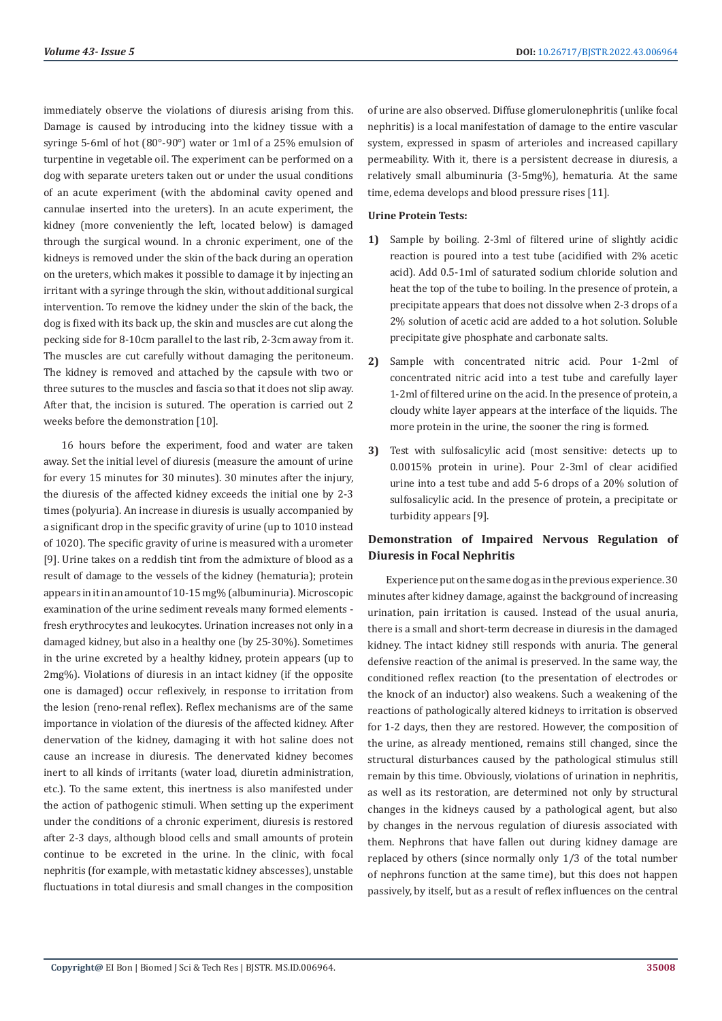immediately observe the violations of diuresis arising from this. Damage is caused by introducing into the kidney tissue with a syringe 5-6ml of hot (80°-90°) water or 1ml of a 25% emulsion of turpentine in vegetable oil. The experiment can be performed on a dog with separate ureters taken out or under the usual conditions of an acute experiment (with the abdominal cavity opened and cannulae inserted into the ureters). In an acute experiment, the kidney (more conveniently the left, located below) is damaged through the surgical wound. In a chronic experiment, one of the kidneys is removed under the skin of the back during an operation on the ureters, which makes it possible to damage it by injecting an irritant with a syringe through the skin, without additional surgical intervention. To remove the kidney under the skin of the back, the dog is fixed with its back up, the skin and muscles are cut along the pecking side for 8-10cm parallel to the last rib, 2-3cm away from it. The muscles are cut carefully without damaging the peritoneum. The kidney is removed and attached by the capsule with two or three sutures to the muscles and fascia so that it does not slip away. After that, the incision is sutured. The operation is carried out 2 weeks before the demonstration [10].

16 hours before the experiment, food and water are taken away. Set the initial level of diuresis (measure the amount of urine for every 15 minutes for 30 minutes). 30 minutes after the injury, the diuresis of the affected kidney exceeds the initial one by 2-3 times (polyuria). An increase in diuresis is usually accompanied by a significant drop in the specific gravity of urine (up to 1010 instead of 1020). The specific gravity of urine is measured with a urometer [9]. Urine takes on a reddish tint from the admixture of blood as a result of damage to the vessels of the kidney (hematuria); protein appears in it in an amount of 10-15 mg% (albuminuria). Microscopic examination of the urine sediment reveals many formed elements fresh erythrocytes and leukocytes. Urination increases not only in a damaged kidney, but also in a healthy one (by 25-30%). Sometimes in the urine excreted by a healthy kidney, protein appears (up to 2mg%). Violations of diuresis in an intact kidney (if the opposite one is damaged) occur reflexively, in response to irritation from the lesion (reno-renal reflex). Reflex mechanisms are of the same importance in violation of the diuresis of the affected kidney. After denervation of the kidney, damaging it with hot saline does not cause an increase in diuresis. The denervated kidney becomes inert to all kinds of irritants (water load, diuretin administration, etc.). To the same extent, this inertness is also manifested under the action of pathogenic stimuli. When setting up the experiment under the conditions of a chronic experiment, diuresis is restored after 2-3 days, although blood cells and small amounts of protein continue to be excreted in the urine. In the clinic, with focal nephritis (for example, with metastatic kidney abscesses), unstable fluctuations in total diuresis and small changes in the composition

of urine are also observed. Diffuse glomerulonephritis (unlike focal nephritis) is a local manifestation of damage to the entire vascular system, expressed in spasm of arterioles and increased capillary permeability. With it, there is a persistent decrease in diuresis, a relatively small albuminuria (3-5mg%), hematuria. At the same time, edema develops and blood pressure rises [11].

#### **Urine Protein Tests:**

- **1)** Sample by boiling. 2-3ml of filtered urine of slightly acidic reaction is poured into a test tube (acidified with 2% acetic acid). Add 0.5-1ml of saturated sodium chloride solution and heat the top of the tube to boiling. In the presence of protein, a precipitate appears that does not dissolve when 2-3 drops of a 2% solution of acetic acid are added to a hot solution. Soluble precipitate give phosphate and carbonate salts.
- **2)** Sample with concentrated nitric acid. Pour 1-2ml of concentrated nitric acid into a test tube and carefully layer 1-2ml of filtered urine on the acid. In the presence of protein, a cloudy white layer appears at the interface of the liquids. The more protein in the urine, the sooner the ring is formed.
- **3)** Test with sulfosalicylic acid (most sensitive: detects up to 0.0015% protein in urine). Pour 2-3ml of clear acidified urine into a test tube and add 5-6 drops of a 20% solution of sulfosalicylic acid. In the presence of protein, a precipitate or turbidity appears [9].

#### **Demonstration of Impaired Nervous Regulation of Diuresis in Focal Nephritis**

Experience put on the same dog as in the previous experience. 30 minutes after kidney damage, against the background of increasing urination, pain irritation is caused. Instead of the usual anuria, there is a small and short-term decrease in diuresis in the damaged kidney. The intact kidney still responds with anuria. The general defensive reaction of the animal is preserved. In the same way, the conditioned reflex reaction (to the presentation of electrodes or the knock of an inductor) also weakens. Such a weakening of the reactions of pathologically altered kidneys to irritation is observed for 1-2 days, then they are restored. However, the composition of the urine, as already mentioned, remains still changed, since the structural disturbances caused by the pathological stimulus still remain by this time. Obviously, violations of urination in nephritis, as well as its restoration, are determined not only by structural changes in the kidneys caused by a pathological agent, but also by changes in the nervous regulation of diuresis associated with them. Nephrons that have fallen out during kidney damage are replaced by others (since normally only 1/3 of the total number of nephrons function at the same time), but this does not happen passively, by itself, but as a result of reflex influences on the central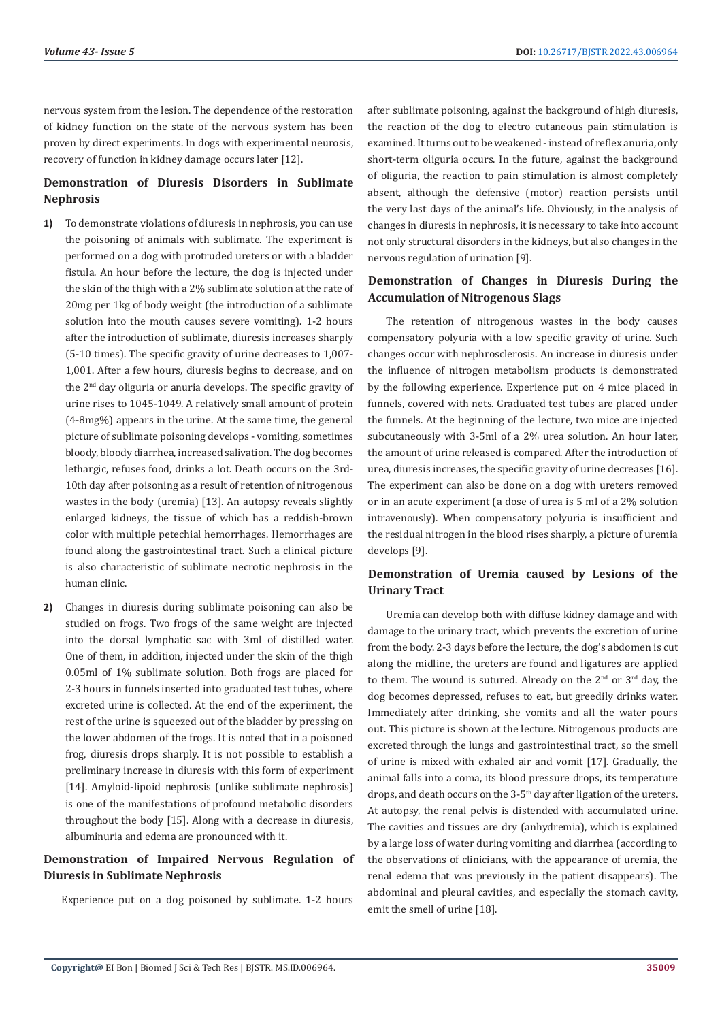nervous system from the lesion. The dependence of the restoration of kidney function on the state of the nervous system has been proven by direct experiments. In dogs with experimental neurosis, recovery of function in kidney damage occurs later [12].

# **Demonstration of Diuresis Disorders in Sublimate Nephrosis**

- **1)** To demonstrate violations of diuresis in nephrosis, you can use the poisoning of animals with sublimate. The experiment is performed on a dog with protruded ureters or with a bladder fistula. An hour before the lecture, the dog is injected under the skin of the thigh with a 2% sublimate solution at the rate of 20mg per 1kg of body weight (the introduction of a sublimate solution into the mouth causes severe vomiting). 1-2 hours after the introduction of sublimate, diuresis increases sharply (5-10 times). The specific gravity of urine decreases to 1,007- 1,001. After a few hours, diuresis begins to decrease, and on the 2nd day oliguria or anuria develops. The specific gravity of urine rises to 1045-1049. A relatively small amount of protein (4-8mg%) appears in the urine. At the same time, the general picture of sublimate poisoning develops - vomiting, sometimes bloody, bloody diarrhea, increased salivation. The dog becomes lethargic, refuses food, drinks a lot. Death occurs on the 3rd-10th day after poisoning as a result of retention of nitrogenous wastes in the body (uremia) [13]. An autopsy reveals slightly enlarged kidneys, the tissue of which has a reddish-brown color with multiple petechial hemorrhages. Hemorrhages are found along the gastrointestinal tract. Such a clinical picture is also characteristic of sublimate necrotic nephrosis in the human clinic.
- **2)** Changes in diuresis during sublimate poisoning can also be studied on frogs. Two frogs of the same weight are injected into the dorsal lymphatic sac with 3ml of distilled water. One of them, in addition, injected under the skin of the thigh 0.05ml of 1% sublimate solution. Both frogs are placed for 2-3 hours in funnels inserted into graduated test tubes, where excreted urine is collected. At the end of the experiment, the rest of the urine is squeezed out of the bladder by pressing on the lower abdomen of the frogs. It is noted that in a poisoned frog, diuresis drops sharply. It is not possible to establish a preliminary increase in diuresis with this form of experiment [14]. Amyloid-lipoid nephrosis (unlike sublimate nephrosis) is one of the manifestations of profound metabolic disorders throughout the body [15]. Along with a decrease in diuresis, albuminuria and edema are pronounced with it.

## **Demonstration of Impaired Nervous Regulation of Diuresis in Sublimate Nephrosis**

Experience put on a dog poisoned by sublimate. 1-2 hours

after sublimate poisoning, against the background of high diuresis, the reaction of the dog to electro cutaneous pain stimulation is examined. It turns out to be weakened - instead of reflex anuria, only short-term oliguria occurs. In the future, against the background of oliguria, the reaction to pain stimulation is almost completely absent, although the defensive (motor) reaction persists until the very last days of the animal's life. Obviously, in the analysis of changes in diuresis in nephrosis, it is necessary to take into account not only structural disorders in the kidneys, but also changes in the nervous regulation of urination [9].

### **Demonstration of Changes in Diuresis During the Accumulation of Nitrogenous Slags**

The retention of nitrogenous wastes in the body causes compensatory polyuria with a low specific gravity of urine. Such changes occur with nephrosclerosis. An increase in diuresis under the influence of nitrogen metabolism products is demonstrated by the following experience. Experience put on 4 mice placed in funnels, covered with nets. Graduated test tubes are placed under the funnels. At the beginning of the lecture, two mice are injected subcutaneously with 3-5ml of a 2% urea solution. An hour later, the amount of urine released is compared. After the introduction of urea, diuresis increases, the specific gravity of urine decreases [16]. The experiment can also be done on a dog with ureters removed or in an acute experiment (a dose of urea is 5 ml of a 2% solution intravenously). When compensatory polyuria is insufficient and the residual nitrogen in the blood rises sharply, a picture of uremia develops [9].

#### **Demonstration of Uremia caused by Lesions of the Urinary Tract**

Uremia can develop both with diffuse kidney damage and with damage to the urinary tract, which prevents the excretion of urine from the body. 2-3 days before the lecture, the dog's abdomen is cut along the midline, the ureters are found and ligatures are applied to them. The wound is sutured. Already on the  $2<sup>nd</sup>$  or  $3<sup>rd</sup>$  day, the dog becomes depressed, refuses to eat, but greedily drinks water. Immediately after drinking, she vomits and all the water pours out. This picture is shown at the lecture. Nitrogenous products are excreted through the lungs and gastrointestinal tract, so the smell of urine is mixed with exhaled air and vomit [17]. Gradually, the animal falls into a coma, its blood pressure drops, its temperature drops, and death occurs on the 3-5<sup>th</sup> day after ligation of the ureters. At autopsy, the renal pelvis is distended with accumulated urine. The cavities and tissues are dry (anhydremia), which is explained by a large loss of water during vomiting and diarrhea (according to the observations of clinicians, with the appearance of uremia, the renal edema that was previously in the patient disappears). The abdominal and pleural cavities, and especially the stomach cavity, emit the smell of urine [18].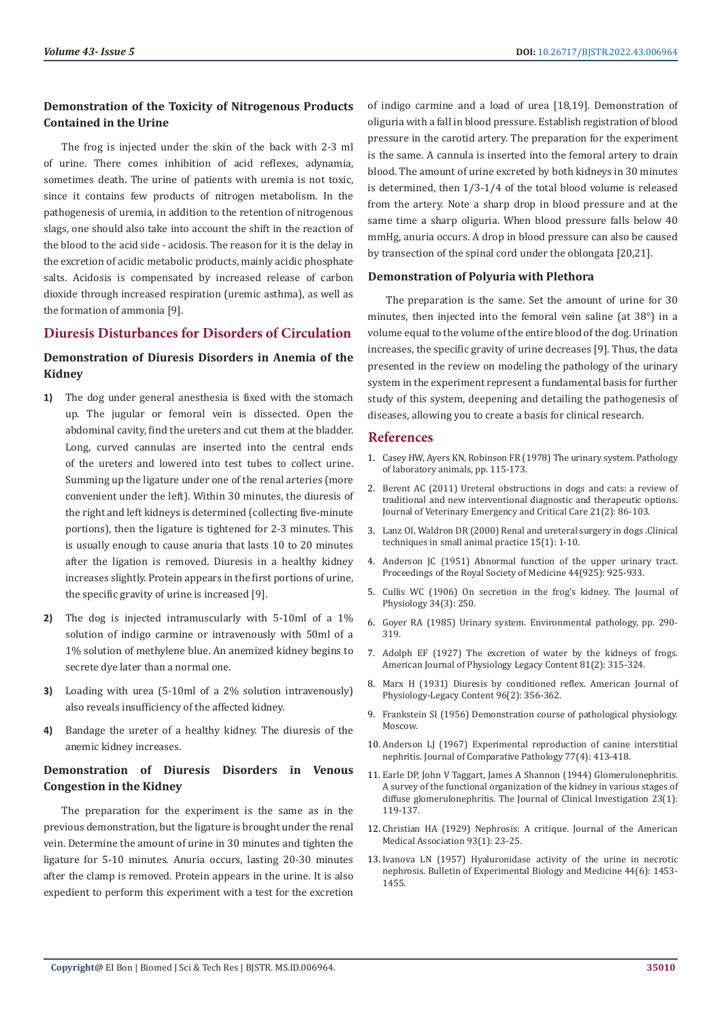### **Demonstration of the Toxicity of Nitrogenous Products Contained in the Urine**

The frog is injected under the skin of the back with 2-3 ml of urine. There comes inhibition of acid reflexes, adynamia, sometimes death. The urine of patients with uremia is not toxic, since it contains few products of nitrogen metabolism. In the pathogenesis of uremia, in addition to the retention of nitrogenous slags, one should also take into account the shift in the reaction of the blood to the acid side - acidosis. The reason for it is the delay in the excretion of acidic metabolic products, mainly acidic phosphate salts. Acidosis is compensated by increased release of carbon dioxide through increased respiration (uremic asthma), as well as the formation of ammonia [9].

#### **Diuresis Disturbances for Disorders of Circulation**

# **Demonstration of Diuresis Disorders in Anemia of the Kidney**

- **1)** The dog under general anesthesia is fixed with the stomach up. The jugular or femoral vein is dissected. Open the abdominal cavity, find the ureters and cut them at the bladder. Long, curved cannulas are inserted into the central ends of the ureters and lowered into test tubes to collect urine. Summing up the ligature under one of the renal arteries (more convenient under the left). Within 30 minutes, the diuresis of the right and left kidneys is determined (collecting five-minute portions), then the ligature is tightened for 2-3 minutes. This is usually enough to cause anuria that lasts 10 to 20 minutes after the ligation is removed. Diuresis in a healthy kidney increases slightly. Protein appears in the first portions of urine, the specific gravity of urine is increased [9].
- **2)** The dog is injected intramuscularly with 5-10ml of a 1% solution of indigo carmine or intravenously with 50ml of a 1% solution of methylene blue. An anemized kidney begins to secrete dye later than a normal one.
- **3)** Loading with urea (5-10ml of a 2% solution intravenously) also reveals insufficiency of the affected kidney.
- **4)** Bandage the ureter of a healthy kidney. The diuresis of the anemic kidney increases.

# **Demonstration of Diuresis Disorders in Venous Congestion in the Kidney**

The preparation for the experiment is the same as in the previous demonstration, but the ligature is brought under the renal vein. Determine the amount of urine in 30 minutes and tighten the ligature for 5-10 minutes. Anuria occurs, lasting 20-30 minutes after the clamp is removed. Protein appears in the urine. It is also expedient to perform this experiment with a test for the excretion

of indigo carmine and a load of urea [18,19]. Demonstration of oliguria with a fall in blood pressure. Establish registration of blood pressure in the carotid artery. The preparation for the experiment is the same. A cannula is inserted into the femoral artery to drain blood. The amount of urine excreted by both kidneys in 30 minutes is determined, then 1/3-1/4 of the total blood volume is released from the artery. Note a sharp drop in blood pressure and at the same time a sharp oliguria. When blood pressure falls below 40 mmHg, anuria occurs. A drop in blood pressure can also be caused by transection of the spinal cord under the oblongata [20,21].

#### **Demonstration of Polyuria with Plethora**

The preparation is the same. Set the amount of urine for 30 minutes, then injected into the femoral vein saline (at 38°) in a volume equal to the volume of the entire blood of the dog. Urination increases, the specific gravity of urine decreases [9]. Thus, the data presented in the review on modeling the pathology of the urinary system in the experiment represent a fundamental basis for further study of this system, deepening and detailing the pathogenesis of diseases, allowing you to create a basis for clinical research.

#### **References**

- 1. Casey HW, Ayers KN, Robinson FR (1978) The urinary system. Pathology of laboratory animals, pp. 115-173.
- 2. [Berent AC \(2011\) Ureteral obstructions in dogs and cats: a review of](https://pubmed.ncbi.nlm.nih.gov/21463437/) [traditional and new interventional diagnostic and therapeutic options.](https://pubmed.ncbi.nlm.nih.gov/21463437/) [Journal of Veterinary Emergency and Critical Care 21\(2\): 86-103.](https://pubmed.ncbi.nlm.nih.gov/21463437/)
- 3. [Lanz OI, Waldron DR \(2000\) Renal and ureteral surgery in dogs .Clinical](file:///C:\Users\Admin01\Desktop\BJSTR-CAR-22-RW-254_3-5-2022\17.%09Lanz%20OI,%20Waldron%20DR%20(2000)%20Renal%20and%20ureteral%20surgery%20in%20dogs%20.Clinical%20techniques%20in%20small%20animal%20practice%2015(1):%201-10) [techniques in small animal practice 15\(1\): 1-10.](file:///C:\Users\Admin01\Desktop\BJSTR-CAR-22-RW-254_3-5-2022\17.%09Lanz%20OI,%20Waldron%20DR%20(2000)%20Renal%20and%20ureteral%20surgery%20in%20dogs%20.Clinical%20techniques%20in%20small%20animal%20practice%2015(1):%201-10)
- 4. [Anderson JC \(1951\) Abnormal function of the upper urinary tract.](https://journals.sagepub.com/doi/pdf/10.1177/003591575104401107) [Proceedings of the Royal Society of Medicine 44\(925\): 925-933.](https://journals.sagepub.com/doi/pdf/10.1177/003591575104401107)
- 5. [Cullis WC \(1906\) On secretion in the frog's kidney. The Journal of](https://physoc.onlinelibrary.wiley.com/doi/10.1113/jphysiol.1906.sp001154) [Physiology 34\(3\): 250.](https://physoc.onlinelibrary.wiley.com/doi/10.1113/jphysiol.1906.sp001154)
- 6. Goyer RA (1985) Urinary system. Environmental pathology, pp. 290- 319.
- 7. [Adolph EF \(1927\) The excretion of water by the kidneys of frogs.](https://journals.physiology.org/doi/abs/10.1152/ajplegacy.1927.81.2.315?journalCode=ajplegacy) [American Journal of Physiology Legacy Content 81\(2\): 315-324.](https://journals.physiology.org/doi/abs/10.1152/ajplegacy.1927.81.2.315?journalCode=ajplegacy)
- 8. [Marx H \(1931\) Diuresis by conditioned reflex. American Journal of](https://journals.physiology.org/doi/abs/10.1152/ajplegacy.1931.96.2.356?journalCode=ajplegacy) [Physiology-Legacy Content 96\(2\): 356-362.](https://journals.physiology.org/doi/abs/10.1152/ajplegacy.1931.96.2.356?journalCode=ajplegacy)
- 9. Frankstein SI (1956) Demonstration course of pathological physiology. Moscow.
- 10. [Anderson LJ \(1967\) Experimental reproduction of canine interstitial](https://pubmed.ncbi.nlm.nih.gov/5582484/) [nephritis. Journal of Comparative Pathology 77\(4\): 413-418.](https://pubmed.ncbi.nlm.nih.gov/5582484/)
- 11. [Earle DP, John V Taggart, James A Shannon \(1944\) Glomerulonephritis.](https://citeseerx.ist.psu.edu/viewdoc/download?doi=10.1.1.828.9233&rep=rep1&type=pdf) [A survey of the functional organization of the kidney in various stages of](https://citeseerx.ist.psu.edu/viewdoc/download?doi=10.1.1.828.9233&rep=rep1&type=pdf) [diffuse glomerulonephritis. The Journal of Clinical Investigation 23\(1\):](https://citeseerx.ist.psu.edu/viewdoc/download?doi=10.1.1.828.9233&rep=rep1&type=pdf) [119-137.](https://citeseerx.ist.psu.edu/viewdoc/download?doi=10.1.1.828.9233&rep=rep1&type=pdf)
- 12. [Christian HA \(1929\) Nephrosis: A critique. Journal of the American](https://jamanetwork.com/journals/jama/article-abstract/268003) [Medical Association 93\(1\): 23-25.](https://jamanetwork.com/journals/jama/article-abstract/268003)
- 13. [Ivanova LN \(1957\) Hyaluronidase activity of the urine in necrotic](https://link.springer.com/journal/10517/volumes-and-issues/44-6) [nephrosis. Bulletin of Experimental Biology and Medicine 44\(6\): 1453-](https://link.springer.com/journal/10517/volumes-and-issues/44-6) [1455.](https://link.springer.com/journal/10517/volumes-and-issues/44-6)